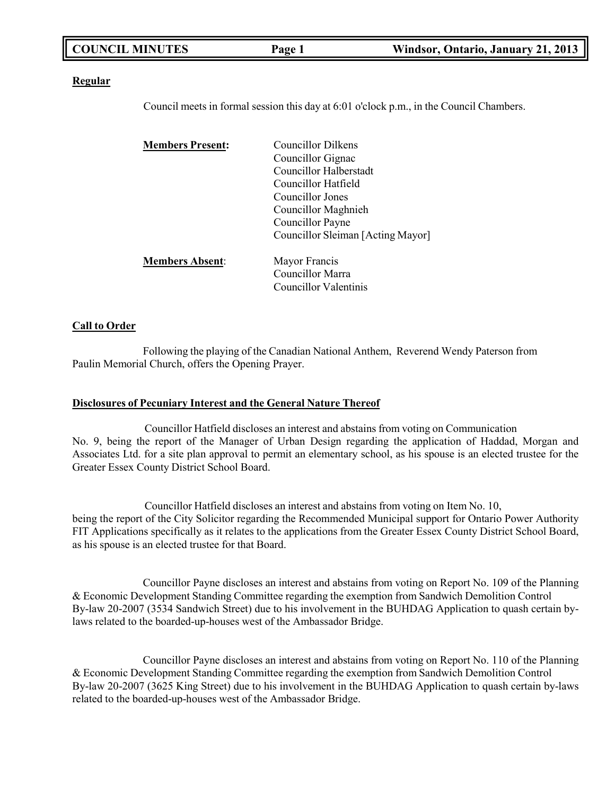| <b>COUNCIL MINUTES</b> | Page 1 | Windsor, Ontario, January 21, 2013 |
|------------------------|--------|------------------------------------|
|                        |        |                                    |

#### **Regular**

Council meets in formal session this day at 6:01 o'clock p.m., in the Council Chambers.

| <b>Members Present:</b> | <b>Councillor Dilkens</b>         |
|-------------------------|-----------------------------------|
|                         | Councillor Gignac                 |
|                         | Councillor Halberstadt            |
|                         | Councillor Hatfield               |
|                         | Councillor Jones                  |
|                         | Councillor Maghnieh               |
|                         | Councillor Payne                  |
|                         | Councillor Sleiman [Acting Mayor] |
| <b>Members Absent:</b>  | Mayor Francis                     |
|                         | Councillor Marra                  |
|                         | Councillor Valentinis             |
|                         |                                   |

#### **Call to Order**

Following the playing of the Canadian National Anthem, Reverend Wendy Paterson from Paulin Memorial Church, offers the Opening Prayer.

#### **Disclosures of Pecuniary Interest and the General Nature Thereof**

Councillor Hatfield discloses an interest and abstains from voting on Communication No. 9, being the report of the Manager of Urban Design regarding the application of Haddad, Morgan and Associates Ltd. for a site plan approval to permit an elementary school, as his spouse is an elected trustee for the Greater Essex County District School Board.

Councillor Hatfield discloses an interest and abstains from voting on Item No. 10, being the report of the City Solicitor regarding the Recommended Municipal support for Ontario Power Authority FIT Applications specifically as it relates to the applications from the Greater Essex County District School Board, as his spouse is an elected trustee for that Board.

Councillor Payne discloses an interest and abstains from voting on Report No. 109 of the Planning & Economic Development Standing Committee regarding the exemption from Sandwich Demolition Control By-law 20-2007 (3534 Sandwich Street) due to his involvement in the BUHDAG Application to quash certain bylaws related to the boarded-up-houses west of the Ambassador Bridge.

Councillor Payne discloses an interest and abstains from voting on Report No. 110 of the Planning & Economic Development Standing Committee regarding the exemption from Sandwich Demolition Control By-law 20-2007 (3625 King Street) due to his involvement in the BUHDAG Application to quash certain by-laws related to the boarded-up-houses west of the Ambassador Bridge.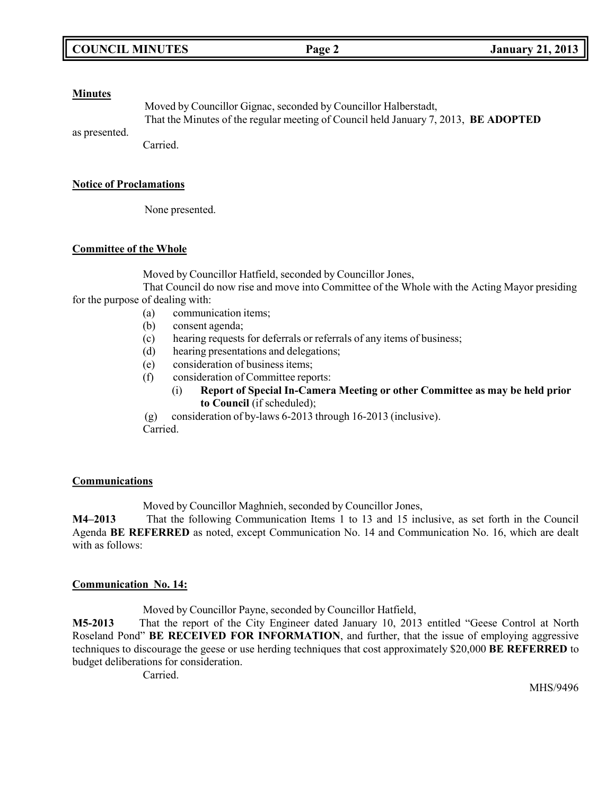#### **Minutes**

Moved by Councillor Gignac, seconded by Councillor Halberstadt, That the Minutes of the regular meeting of Council held January 7, 2013, **BE ADOPTED**

as presented.

Carried.

### **Notice of Proclamations**

None presented.

### **Committee of the Whole**

Moved by Councillor Hatfield, seconded by Councillor Jones,

That Council do now rise and move into Committee of the Whole with the Acting Mayor presiding for the purpose of dealing with:

- (a) communication items;
- (b) consent agenda;
- (c) hearing requests for deferrals or referrals of any items of business;
- (d) hearing presentations and delegations;
- (e) consideration of business items;
- (f) consideration of Committee reports:
	- (i) **Report of Special In-Camera Meeting or other Committee as may be held prior to Council** (if scheduled);

(g) consideration of by-laws 6-2013 through 16-2013 (inclusive). Carried.

### **Communications**

Moved by Councillor Maghnieh, seconded by Councillor Jones,

**M4–2013** That the following Communication Items 1 to 13 and 15 inclusive, as set forth in the Council Agenda **BE REFERRED** as noted, except Communication No. 14 and Communication No. 16, which are dealt with as follows:

### **Communication No. 14:**

Moved by Councillor Payne, seconded by Councillor Hatfield,

**M5-2013** That the report of the City Engineer dated January 10, 2013 entitled "Geese Control at North Roseland Pond" **BE RECEIVED FOR INFORMATION**, and further, that the issue of employing aggressive techniques to discourage the geese or use herding techniques that cost approximately \$20,000 **BE REFERRED** to budget deliberations for consideration.

Carried.

MHS/9496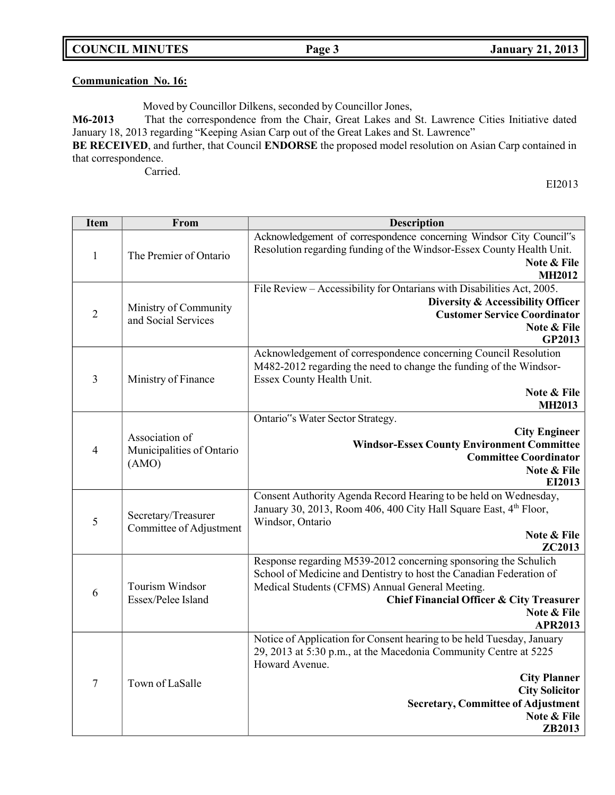# **Communication No. 16:**

Moved by Councillor Dilkens, seconded by Councillor Jones,

**M6-2013** That the correspondence from the Chair, Great Lakes and St. Lawrence Cities Initiative dated January 18, 2013 regarding "Keeping Asian Carp out of the Great Lakes and St. Lawrence" **BE RECEIVED**, and further, that Council **ENDORSE** the proposed model resolution on Asian Carp contained in

that correspondence. Carried.

EI2013

| <b>Item</b>    | From                                                 | <b>Description</b>                                                                                                                                                                                                                                                                |
|----------------|------------------------------------------------------|-----------------------------------------------------------------------------------------------------------------------------------------------------------------------------------------------------------------------------------------------------------------------------------|
| $\mathbf{1}$   | The Premier of Ontario                               | Acknowledgement of correspondence concerning Windsor City Council"s<br>Resolution regarding funding of the Windsor-Essex County Health Unit.<br>Note & File<br><b>MH2012</b>                                                                                                      |
| $\overline{2}$ | Ministry of Community<br>and Social Services         | File Review - Accessibility for Ontarians with Disabilities Act, 2005.<br>Diversity & Accessibility Officer<br><b>Customer Service Coordinator</b><br>Note & File<br>GP2013                                                                                                       |
| 3              | Ministry of Finance                                  | Acknowledgement of correspondence concerning Council Resolution<br>M482-2012 regarding the need to change the funding of the Windsor-<br>Essex County Health Unit.<br>Note & File<br><b>MH2013</b>                                                                                |
| $\overline{4}$ | Association of<br>Municipalities of Ontario<br>(AMO) | Ontario"s Water Sector Strategy.<br><b>City Engineer</b><br><b>Windsor-Essex County Environment Committee</b><br><b>Committee Coordinator</b><br>Note & File<br>EI2013                                                                                                            |
| 5              | Secretary/Treasurer<br>Committee of Adjustment       | Consent Authority Agenda Record Hearing to be held on Wednesday,<br>January 30, 2013, Room 406, 400 City Hall Square East, 4 <sup>th</sup> Floor,<br>Windsor, Ontario<br>Note & File<br>ZC2013                                                                                    |
| 6              | Tourism Windsor<br>Essex/Pelee Island                | Response regarding M539-2012 concerning sponsoring the Schulich<br>School of Medicine and Dentistry to host the Canadian Federation of<br>Medical Students (CFMS) Annual General Meeting.<br><b>Chief Financial Officer &amp; City Treasurer</b><br>Note & File<br><b>APR2013</b> |
| $\tau$         | Town of LaSalle                                      | Notice of Application for Consent hearing to be held Tuesday, January<br>29, 2013 at 5:30 p.m., at the Macedonia Community Centre at 5225<br>Howard Avenue.<br><b>City Planner</b><br><b>City Solicitor</b><br><b>Secretary, Committee of Adjustment</b><br>Note & File<br>ZB2013 |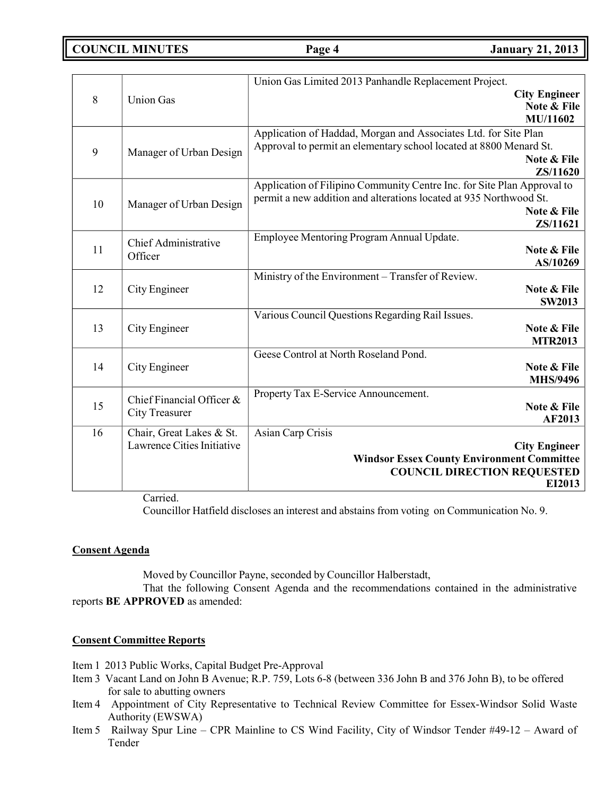**COUNCIL MINUTES Page 4 January 21, 2013**

|    |                             | Union Gas Limited 2013 Panhandle Replacement Project.                   |
|----|-----------------------------|-------------------------------------------------------------------------|
| 8  |                             | <b>City Engineer</b>                                                    |
|    | <b>Union Gas</b>            | Note & File                                                             |
|    |                             | MU/11602                                                                |
|    |                             | Application of Haddad, Morgan and Associates Ltd. for Site Plan         |
| 9  | Manager of Urban Design     | Approval to permit an elementary school located at 8800 Menard St.      |
|    |                             | Note & File                                                             |
|    |                             | ZS/11620                                                                |
|    |                             | Application of Filipino Community Centre Inc. for Site Plan Approval to |
| 10 | Manager of Urban Design     | permit a new addition and alterations located at 935 Northwood St.      |
|    |                             | Note & File                                                             |
|    |                             | ZS/11621                                                                |
|    | <b>Chief Administrative</b> | Employee Mentoring Program Annual Update.                               |
| 11 | Officer                     | Note & File                                                             |
|    |                             | AS/10269                                                                |
|    |                             | Ministry of the Environment - Transfer of Review.                       |
| 12 | City Engineer               | Note & File                                                             |
|    |                             | <b>SW2013</b>                                                           |
|    |                             | Various Council Questions Regarding Rail Issues.                        |
| 13 | City Engineer               | Note & File                                                             |
|    |                             | <b>MTR2013</b>                                                          |
|    |                             | Geese Control at North Roseland Pond.                                   |
| 14 | City Engineer               | Note & File                                                             |
|    |                             | <b>MHS/9496</b>                                                         |
|    | Chief Financial Officer &   | Property Tax E-Service Announcement.                                    |
| 15 | <b>City Treasurer</b>       | Note & File                                                             |
|    |                             | AF2013                                                                  |
| 16 | Chair, Great Lakes & St.    | Asian Carp Crisis                                                       |
|    | Lawrence Cities Initiative  | <b>City Engineer</b>                                                    |
|    |                             | <b>Windsor Essex County Environment Committee</b>                       |
|    |                             | <b>COUNCIL DIRECTION REQUESTED</b>                                      |
|    |                             | EI2013                                                                  |

Carried.

Councillor Hatfield discloses an interest and abstains from voting on Communication No. 9.

### **Consent Agenda**

Moved by Councillor Payne, seconded by Councillor Halberstadt,

That the following Consent Agenda and the recommendations contained in the administrative reports **BE APPROVED** as amended:

### **Consent Committee Reports**

Item 1 2013 Public Works, Capital Budget Pre-Approval

- Item 3 Vacant Land on John B Avenue; R.P. 759, Lots 6-8 (between 336 John B and 376 John B), to be offered for sale to abutting owners
- Item 4 Appointment of City Representative to Technical Review Committee for Essex-Windsor Solid Waste Authority (EWSWA)
- Item 5 Railway Spur Line CPR Mainline to CS Wind Facility, City of Windsor Tender #49-12 Award of Tender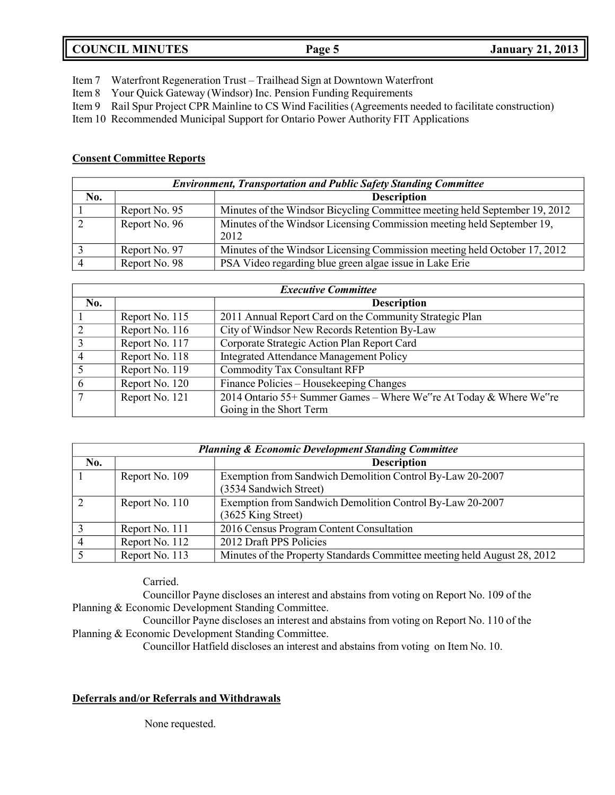# **COUNCIL MINUTES Page 5 January 21, 2013**

Item 7 Waterfront Regeneration Trust – Trailhead Sign at Downtown Waterfront

Item 8 Your Quick Gateway (Windsor) Inc. Pension Funding Requirements

Item 9 Rail Spur Project CPR Mainline to CS Wind Facilities (Agreements needed to facilitate construction)

Item 10 Recommended Municipal Support for Ontario Power Authority FIT Applications

## **Consent Committee Reports**

| <b>Environment, Transportation and Public Safety Standing Committee</b> |               |                                                                                |  |
|-------------------------------------------------------------------------|---------------|--------------------------------------------------------------------------------|--|
| No.                                                                     |               | <b>Description</b>                                                             |  |
|                                                                         | Report No. 95 | Minutes of the Windsor Bicycling Committee meeting held September 19, 2012     |  |
|                                                                         | Report No. 96 | Minutes of the Windsor Licensing Commission meeting held September 19,<br>2012 |  |
|                                                                         | Report No. 97 | Minutes of the Windsor Licensing Commission meeting held October 17, 2012      |  |
|                                                                         | Report No. 98 | PSA Video regarding blue green algae issue in Lake Erie                        |  |

| <b>Executive Committee</b> |                |                                                                    |  |
|----------------------------|----------------|--------------------------------------------------------------------|--|
| No.                        |                | <b>Description</b>                                                 |  |
|                            | Report No. 115 | 2011 Annual Report Card on the Community Strategic Plan            |  |
| 2                          | Report No. 116 | City of Windsor New Records Retention By-Law                       |  |
| 3                          | Report No. 117 | Corporate Strategic Action Plan Report Card                        |  |
| $\overline{4}$             | Report No. 118 | <b>Integrated Attendance Management Policy</b>                     |  |
| 5                          | Report No. 119 | <b>Commodity Tax Consultant RFP</b>                                |  |
| 6                          | Report No. 120 | Finance Policies – Housekeeping Changes                            |  |
| $\overline{7}$             | Report No. 121 | 2014 Ontario 55+ Summer Games - Where We"re At Today & Where We"re |  |
|                            |                | Going in the Short Term                                            |  |

| <b>Planning &amp; Economic Development Standing Committee</b> |                |                                                                                 |  |
|---------------------------------------------------------------|----------------|---------------------------------------------------------------------------------|--|
| No.                                                           |                | <b>Description</b>                                                              |  |
|                                                               | Report No. 109 | Exemption from Sandwich Demolition Control By-Law 20-2007                       |  |
|                                                               |                | (3534 Sandwich Street)                                                          |  |
|                                                               | Report No. 110 | Exemption from Sandwich Demolition Control By-Law 20-2007<br>(3625 King Street) |  |
|                                                               | Report No. 111 | 2016 Census Program Content Consultation                                        |  |
|                                                               | Report No. 112 | 2012 Draft PPS Policies                                                         |  |
|                                                               | Report No. 113 | Minutes of the Property Standards Committee meeting held August 28, 2012        |  |

Carried.

Councillor Payne discloses an interest and abstains from voting on Report No. 109 of the Planning & Economic Development Standing Committee.

Councillor Payne discloses an interest and abstains from voting on Report No. 110 of the Planning & Economic Development Standing Committee.

Councillor Hatfield discloses an interest and abstains from voting on Item No. 10.

# **Deferrals and/or Referrals and Withdrawals**

None requested.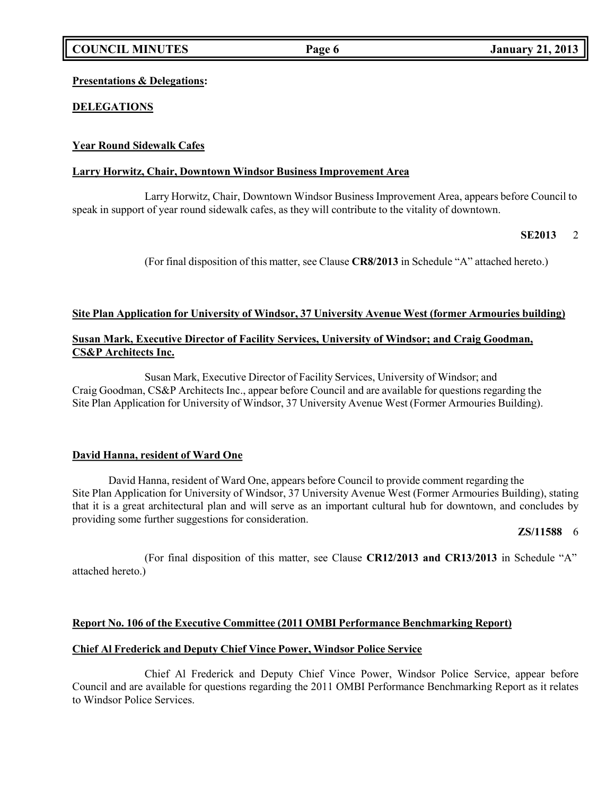## **Presentations & Delegations:**

# **DELEGATIONS**

# **Year Round Sidewalk Cafes**

### **Larry Horwitz, Chair, Downtown Windsor Business Improvement Area**

Larry Horwitz, Chair, Downtown Windsor Business Improvement Area, appears before Council to speak in support of year round sidewalk cafes, as they will contribute to the vitality of downtown.

### **SE2013** 2

(For final disposition of this matter, see Clause **CR8/2013** in Schedule "A" attached hereto.)

## **Site Plan Application for University of Windsor, 37 University Avenue West (former Armouries building)**

# **Susan Mark, Executive Director of Facility Services, University of Windsor; and Craig Goodman, CS&P Architects Inc.**

Susan Mark, Executive Director of Facility Services, University of Windsor; and Craig Goodman, CS&P Architects Inc., appear before Council and are available for questions regarding the Site Plan Application for University of Windsor, 37 University Avenue West (Former Armouries Building).

### **David Hanna, resident of Ward One**

David Hanna, resident of Ward One, appears before Council to provide comment regarding the Site Plan Application for University of Windsor, 37 University Avenue West (Former Armouries Building), stating that it is a great architectural plan and will serve as an important cultural hub for downtown, and concludes by providing some further suggestions for consideration.

### **ZS/11588** 6

(For final disposition of this matter, see Clause **CR12/2013 and CR13/2013** in Schedule "A" attached hereto.)

### **Report No. 106 of the Executive Committee (2011 OMBI Performance Benchmarking Report)**

### **Chief Al Frederick and Deputy Chief Vince Power, Windsor Police Service**

Chief Al Frederick and Deputy Chief Vince Power, Windsor Police Service, appear before Council and are available for questions regarding the 2011 OMBI Performance Benchmarking Report as it relates to Windsor Police Services.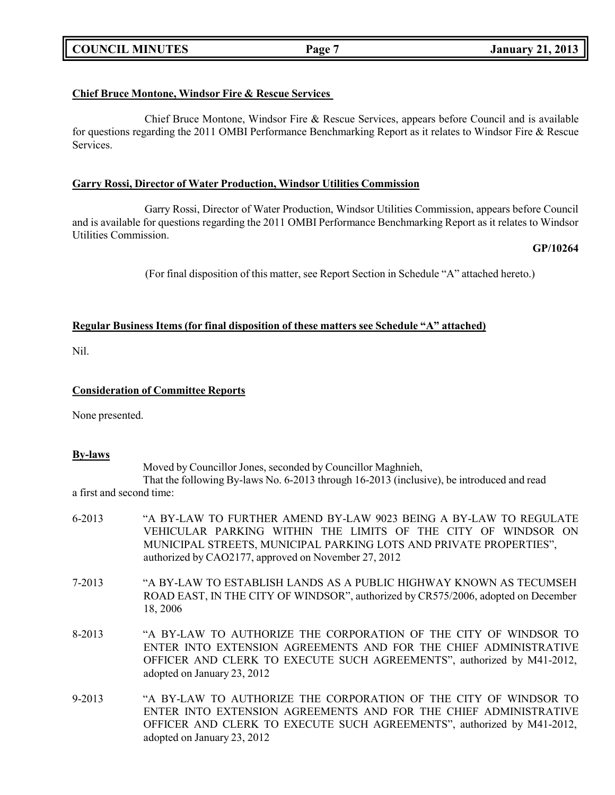# **COUNCIL MINUTES Page 7 January 21, 2013**

# **Chief Bruce Montone, Windsor Fire & Rescue Services**

Chief Bruce Montone, Windsor Fire & Rescue Services, appears before Council and is available for questions regarding the 2011 OMBI Performance Benchmarking Report as it relates to Windsor Fire & Rescue Services.

# **Garry Rossi, Director of Water Production, Windsor Utilities Commission**

Garry Rossi, Director of Water Production, Windsor Utilities Commission, appears before Council and is available for questions regarding the 2011 OMBI Performance Benchmarking Report as it relates to Windsor Utilities Commission.

# **GP/10264**

(For final disposition of this matter, see Report Section in Schedule "A" attached hereto.)

# **Regular Business Items (for final disposition of these matters see Schedule "A" attached)**

Nil.

## **Consideration of Committee Reports**

None presented.

### **By-laws**

Moved by Councillor Jones, seconded by Councillor Maghnieh, That the following By-laws No. 6-2013 through 16-2013 (inclusive), be introduced and read a first and second time:

- 6-2013 "A BY-LAW TO FURTHER AMEND BY-LAW 9023 BEING A BY-LAW TO REGULATE VEHICULAR PARKING WITHIN THE LIMITS OF THE CITY OF WINDSOR ON MUNICIPAL STREETS, MUNICIPAL PARKING LOTS AND PRIVATE PROPERTIES", authorized by CAO2177, approved on November 27, 2012 7-2013 "A BY-LAW TO ESTABLISH LANDS AS A PUBLIC HIGHWAY KNOWN AS TECUMSEH ROAD EAST, IN THE CITY OF WINDSOR", authorized by CR575/2006, adopted on December 18, 2006 8-2013 "A BY-LAW TO AUTHORIZE THE CORPORATION OF THE CITY OF WINDSOR TO ENTER INTO EXTENSION AGREEMENTS AND FOR THE CHIEF ADMINISTRATIVE OFFICER AND CLERK TO EXECUTE SUCH AGREEMENTS", authorized by M41-2012, adopted on January 23, 2012
- 9-2013 "A BY-LAW TO AUTHORIZE THE CORPORATION OF THE CITY OF WINDSOR TO ENTER INTO EXTENSION AGREEMENTS AND FOR THE CHIEF ADMINISTRATIVE OFFICER AND CLERK TO EXECUTE SUCH AGREEMENTS", authorized by M41-2012, adopted on January 23, 2012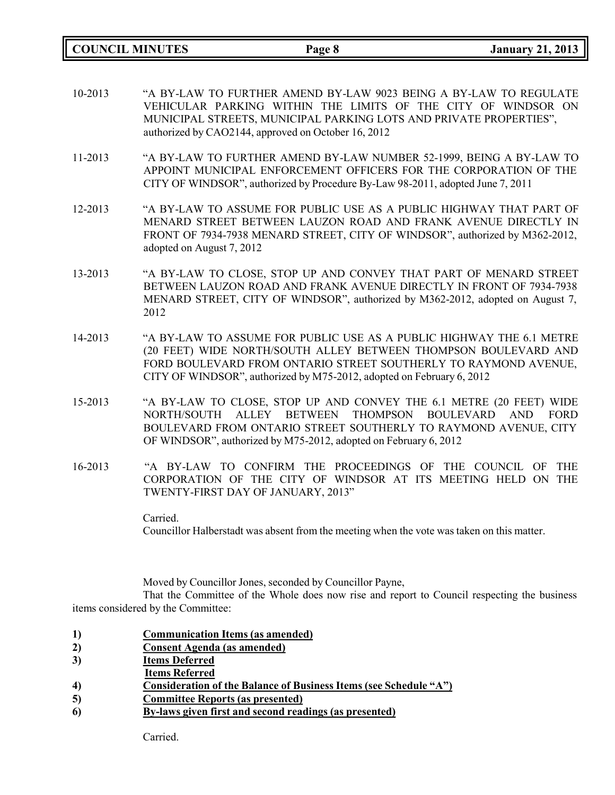**COUNCIL MINUTES Page 8 January 21, 2013**

- 10-2013 "A BY-LAW TO FURTHER AMEND BY-LAW 9023 BEING A BY-LAW TO REGULATE VEHICULAR PARKING WITHIN THE LIMITS OF THE CITY OF WINDSOR ON MUNICIPAL STREETS, MUNICIPAL PARKING LOTS AND PRIVATE PROPERTIES", authorized by CAO2144, approved on October 16, 2012
- 11-2013 "A BY-LAW TO FURTHER AMEND BY-LAW NUMBER 52-1999, BEING A BY-LAW TO APPOINT MUNICIPAL ENFORCEMENT OFFICERS FOR THE CORPORATION OF THE CITY OF WINDSOR", authorized by Procedure By-Law 98-2011, adopted June 7, 2011
- 12-2013 "A BY-LAW TO ASSUME FOR PUBLIC USE AS A PUBLIC HIGHWAY THAT PART OF MENARD STREET BETWEEN LAUZON ROAD AND FRANK AVENUE DIRECTLY IN FRONT OF 7934-7938 MENARD STREET, CITY OF WINDSOR", authorized by M362-2012, adopted on August 7, 2012
- 13-2013 "A BY-LAW TO CLOSE, STOP UP AND CONVEY THAT PART OF MENARD STREET BETWEEN LAUZON ROAD AND FRANK AVENUE DIRECTLY IN FRONT OF 7934-7938 MENARD STREET, CITY OF WINDSOR", authorized by M362-2012, adopted on August 7, 2012
- 14-2013 "A BY-LAW TO ASSUME FOR PUBLIC USE AS A PUBLIC HIGHWAY THE 6.1 METRE (20 FEET) WIDE NORTH/SOUTH ALLEY BETWEEN THOMPSON BOULEVARD AND FORD BOULEVARD FROM ONTARIO STREET SOUTHERLY TO RAYMOND AVENUE, CITY OF WINDSOR", authorized by M75-2012, adopted on February 6, 2012
- 15-2013 "A BY-LAW TO CLOSE, STOP UP AND CONVEY THE 6.1 METRE (20 FEET) WIDE NORTH/SOUTH ALLEY BETWEEN THOMPSON BOULEVARD AND FORD BOULEVARD FROM ONTARIO STREET SOUTHERLY TO RAYMOND AVENUE, CITY OF WINDSOR", authorized by M75-2012, adopted on February 6, 2012
- 16-2013 "A BY-LAW TO CONFIRM THE PROCEEDINGS OF THE COUNCIL OF THE CORPORATION OF THE CITY OF WINDSOR AT ITS MEETING HELD ON THE TWENTY-FIRST DAY OF JANUARY, 2013"

Carried. Councillor Halberstadt was absent from the meeting when the vote was taken on this matter.

Moved by Councillor Jones, seconded by Councillor Payne,

That the Committee of the Whole does now rise and report to Council respecting the business items considered by the Committee:

- **1) Communication Items (as amended)**
- **2) Consent Agenda (as amended)**
- **3) Items Deferred**
- **Items Referred**
- **4) Consideration of the Balance of Business Items (see Schedule "A")**
- **5) Committee Reports (as presented)**
- **6) By-laws given first and second readings (as presented)**

Carried.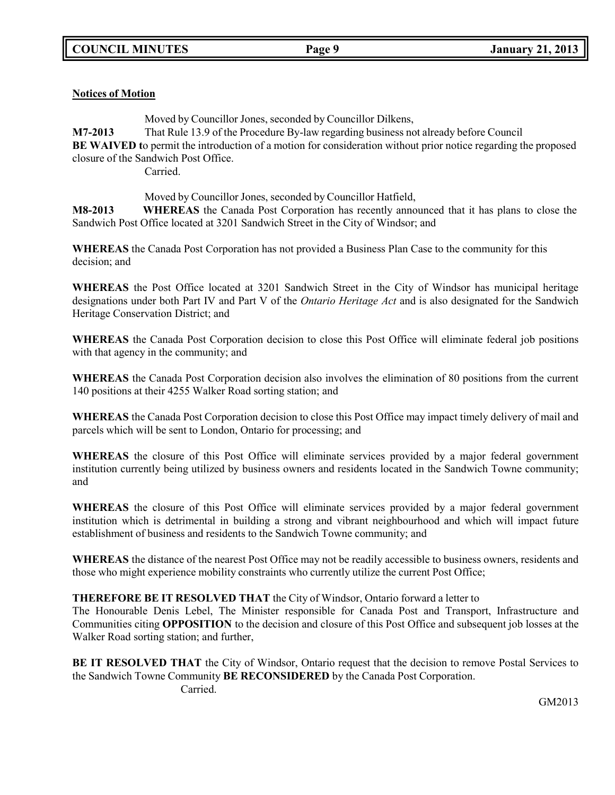# **Notices of Motion**

Moved by Councillor Jones, seconded by Councillor Dilkens,

**M7-2013** That Rule 13.9 of the Procedure By-law regarding business not already before Council **BE** WAIVED to permit the introduction of a motion for consideration without prior notice regarding the proposed closure of the Sandwich Post Office.

Carried.

Moved by Councillor Jones, seconded by Councillor Hatfield,

**M8-2013 WHEREAS** the Canada Post Corporation has recently announced that it has plans to close the Sandwich Post Office located at 3201 Sandwich Street in the City of Windsor; and

**WHEREAS** the Canada Post Corporation has not provided a Business Plan Case to the community for this decision; and

**WHEREAS** the Post Office located at 3201 Sandwich Street in the City of Windsor has municipal heritage designations under both Part IV and Part V of the *Ontario Heritage Act* and is also designated for the Sandwich Heritage Conservation District; and

**WHEREAS** the Canada Post Corporation decision to close this Post Office will eliminate federal job positions with that agency in the community; and

**WHEREAS** the Canada Post Corporation decision also involves the elimination of 80 positions from the current 140 positions at their 4255 Walker Road sorting station; and

**WHEREAS** the Canada Post Corporation decision to close this Post Office may impact timely delivery of mail and parcels which will be sent to London, Ontario for processing; and

**WHEREAS** the closure of this Post Office will eliminate services provided by a major federal government institution currently being utilized by business owners and residents located in the Sandwich Towne community; and

**WHEREAS** the closure of this Post Office will eliminate services provided by a major federal government institution which is detrimental in building a strong and vibrant neighbourhood and which will impact future establishment of business and residents to the Sandwich Towne community; and

**WHEREAS** the distance of the nearest Post Office may not be readily accessible to business owners, residents and those who might experience mobility constraints who currently utilize the current Post Office;

### **THEREFORE BE IT RESOLVED THAT** the City of Windsor, Ontario forward a letter to

The [Honourable](http://www.pm.gc.ca/eng/bio.asp?id=73) Denis Lebel, The Minister responsible for Canada Post and Transport, Infrastructure and Communities citing **OPPOSITION** to the decision and closure of this Post Office and subsequent job losses at the Walker Road sorting station; and further,

**BE IT RESOLVED THAT** the City of Windsor, Ontario request that the decision to remove Postal Services to the Sandwich Towne Community **BE RECONSIDERED** by the Canada Post Corporation. Carried.

GM2013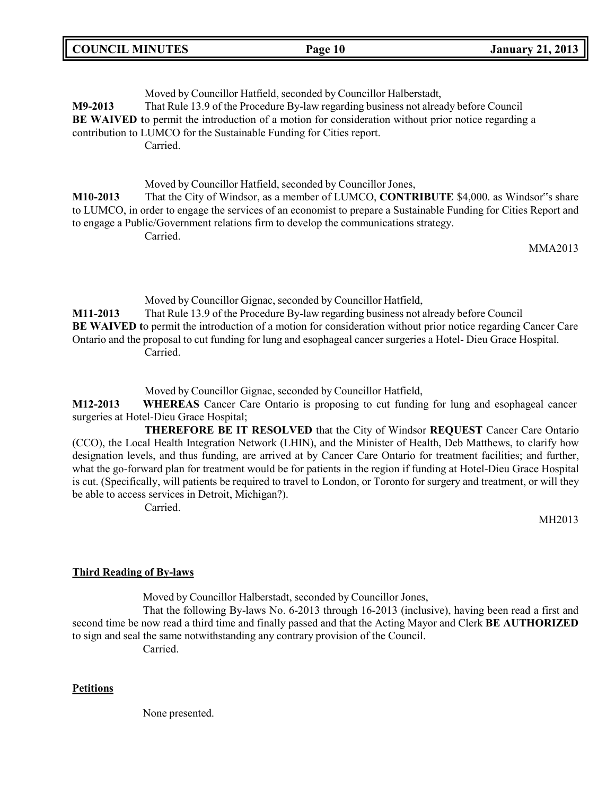Moved by Councillor Hatfield, seconded by Councillor Halberstadt, **M9-2013** That Rule 13.9 of the Procedure By-law regarding business not already before Council **BE** WAIVED to permit the introduction of a motion for consideration without prior notice regarding a contribution to LUMCO for the Sustainable Funding for Cities report. Carried.

Moved by Councillor Hatfield, seconded by Councillor Jones, **M10-2013** That the City of Windsor, as a member of LUMCO, **CONTRIBUTE** \$4,000. as Windsor"s share to LUMCO, in order to engage the services of an economist to prepare a Sustainable Funding for Cities Report and to engage a Public/Government relations firm to develop the communications strategy. Carried.

MMA2013

Moved by Councillor Gignac, seconded by Councillor Hatfield, **M11-2013** That Rule 13.9 of the Procedure By-law regarding business not already before Council **BE WAIVED t**o permit the introduction of a motion for consideration without prior notice regarding Cancer Care Ontario and the proposal to cut funding for lung and esophageal cancer surgeries a Hotel- Dieu Grace Hospital. Carried.

Moved by Councillor Gignac, seconded by Councillor Hatfield,

**M12-2013 WHEREAS** Cancer Care Ontario is proposing to cut funding for lung and esophageal cancer surgeries at Hotel-Dieu Grace Hospital;

**THEREFORE BE IT RESOLVED** that the City of Windsor **REQUEST** Cancer Care Ontario (CCO), the Local Health Integration Network (LHIN), and the Minister of Health, Deb Matthews, to clarify how designation levels, and thus funding, are arrived at by Cancer Care Ontario for treatment facilities; and further, what the go-forward plan for treatment would be for patients in the region if funding at Hotel-Dieu Grace Hospital is cut. (Specifically, will patients be required to travel to London, or Toronto for surgery and treatment, or will they be able to access services in Detroit, Michigan?).

Carried.

MH2013

### **Third Reading of By-laws**

Moved by Councillor Halberstadt, seconded by Councillor Jones,

That the following By-laws No. 6-2013 through 16-2013 (inclusive), having been read a first and second time be now read a third time and finally passed and that the Acting Mayor and Clerk **BE AUTHORIZED** to sign and seal the same notwithstanding any contrary provision of the Council.

Carried.

#### **Petitions**

None presented.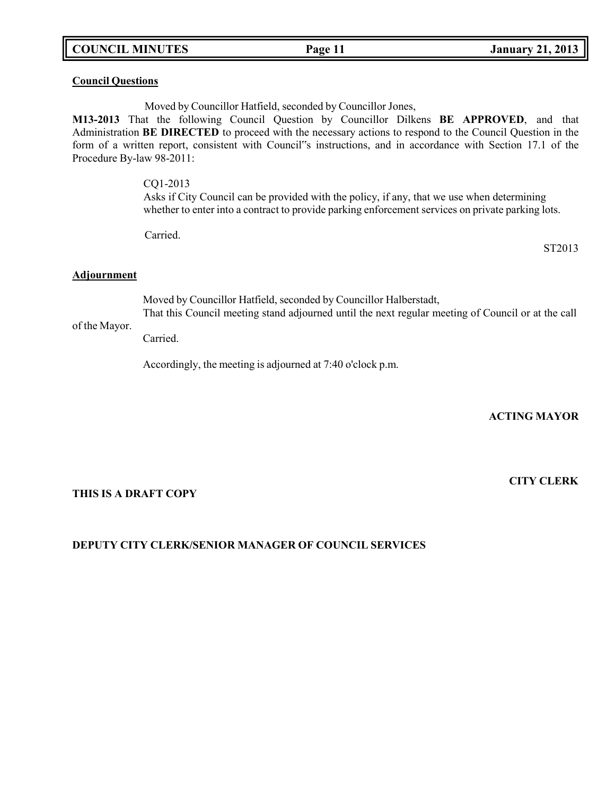## **COUNCIL MINUTES Page 11 January 21, 2013**

### **Council Questions**

Moved by Councillor Hatfield, seconded by Councillor Jones,

**M13-2013** That the following Council Question by Councillor Dilkens **BE APPROVED**, and that Administration **BE DIRECTED** to proceed with the necessary actions to respond to the Council Question in the form of a written report, consistent with Council"s instructions, and in accordance with Section 17.1 of the Procedure By-law 98-2011:

> CQ1-2013 Asks if City Council can be provided with the policy, if any, that we use when determining whether to enter into a contract to provide parking enforcement services on private parking lots.

Carried.

ST2013

#### **Adjournment**

Moved by Councillor Hatfield, seconded by Councillor Halberstadt,

of the Mayor. That this Council meeting stand adjourned until the next regular meeting of Council or at the call

Carried.

Accordingly, the meeting is adjourned at 7:40 o'clock p.m.

**ACTING MAYOR**

**CITY CLERK**

### **THIS IS A DRAFT COPY**

### **DEPUTY CITY CLERK/SENIOR MANAGER OF COUNCIL SERVICES**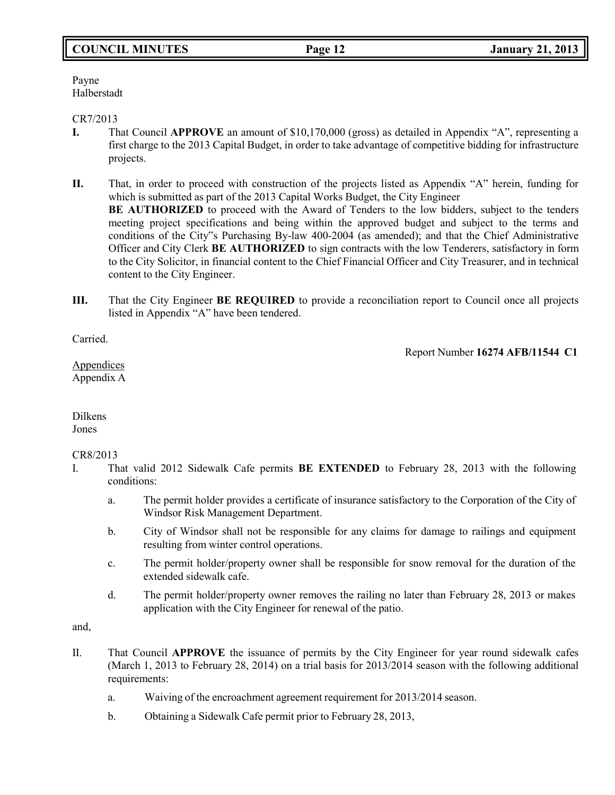# **COUNCIL MINUTES Page 12 January 21, 2013**

Payne Halberstadt

### CR7/2013

**I.** That Council **APPROVE** an amount of \$10,170,000 (gross) as detailed in Appendix "A", representing a first charge to the 2013 Capital Budget, in order to take advantage of competitive bidding for infrastructure projects.

**II.** That, in order to proceed with construction of the projects listed as Appendix "A" herein, funding for which is submitted as part of the 2013 Capital Works Budget, the City Engineer **BE AUTHORIZED** to proceed with the Award of Tenders to the low bidders, subject to the tenders meeting project specifications and being within the approved budget and subject to the terms and conditions of the City"s Purchasing By-law 400-2004 (as amended); and that the Chief Administrative Officer and City Clerk **BE AUTHORIZED** to sign contracts with the low Tenderers, satisfactory in form to the City Solicitor, in financial content to the Chief Financial Officer and City Treasurer, and in technical content to the City Engineer.

**III.** That the City Engineer **BE REQUIRED** to provide a reconciliation report to Council once all projects listed in Appendix "A" have been tendered.

Carried.

Report Number **16274 AFB/11544 C1**

Appendices Appendix A

Dilkens Jones

### CR8/2013

- I. That valid 2012 Sidewalk Cafe permits **BE EXTENDED** to February 28, 2013 with the following conditions:
	- a. The permit holder provides a certificate of insurance satisfactory to the Corporation of the City of Windsor Risk Management Department.
	- b. City of Windsor shall not be responsible for any claims for damage to railings and equipment resulting from winter control operations.
	- c. The permit holder/property owner shall be responsible for snow removal for the duration of the extended sidewalk cafe.
	- d. The permit holder/property owner removes the railing no later than February 28, 2013 or makes application with the City Engineer for renewal of the patio.

and,

- II. That Council **APPROVE** the issuance of permits by the City Engineer for year round sidewalk cafes (March 1, 2013 to February 28, 2014) on a trial basis for 2013/2014 season with the following additional requirements:
	- a. Waiving of the encroachment agreement requirement for 2013/2014 season.
	- b. Obtaining a Sidewalk Cafe permit prior to February 28, 2013,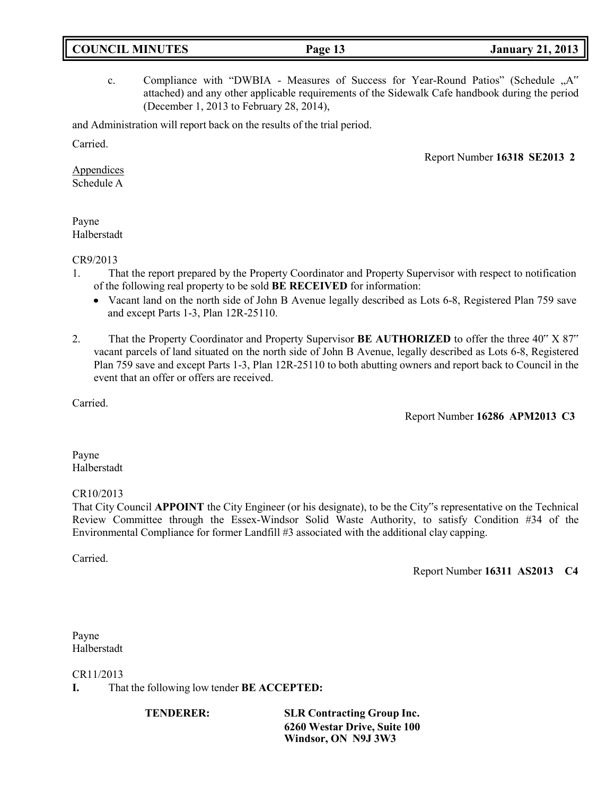| <b>COUNCIL MINUTES</b><br><b>January 21, 2013</b><br>Page 13 |
|--------------------------------------------------------------|
|--------------------------------------------------------------|

c. Compliance with "DWBIA - Measures of Success for Year-Round Patios" (Schedule "A" attached) and any other applicable requirements of the Sidewalk Cafe handbook during the period (December 1, 2013 to February 28, 2014),

and Administration will report back on the results of the trial period.

Carried.

Report Number **16318 SE2013 2**

**Appendices** Schedule A

Payne Halberstadt

CR9/2013

- 1. That the report prepared by the Property Coordinator and Property Supervisor with respect to notification of the following real property to be sold **BE RECEIVED** for information:
	- Vacant land on the north side of John B Avenue legally described as Lots 6-8, Registered Plan 759 save and except Parts 1-3, Plan 12R-25110.
- 2. That the Property Coordinator and Property Supervisor **BE AUTHORIZED** to offer the three 40" X 87" vacant parcels of land situated on the north side of John B Avenue, legally described as Lots 6-8, Registered Plan 759 save and except Parts 1-3, Plan 12R-25110 to both abutting owners and report back to Council in the event that an offer or offers are received.

Carried.

Report Number **16286 APM2013 C3**

Payne Halberstadt

### CR10/2013

That City Council **APPOINT** the City Engineer (or his designate), to be the City"s representative on the Technical Review Committee through the Essex-Windsor Solid Waste Authority, to satisfy Condition #34 of the Environmental Compliance for former Landfill #3 associated with the additional clay capping.

Carried.

Report Number **16311 AS2013 C4**

Payne Halberstadt

CR11/2013

**I.** That the following low tender **BE ACCEPTED:**

**TENDERER: SLR Contracting Group Inc. 6260 Westar Drive, Suite 100 Windsor, ON N9J 3W3**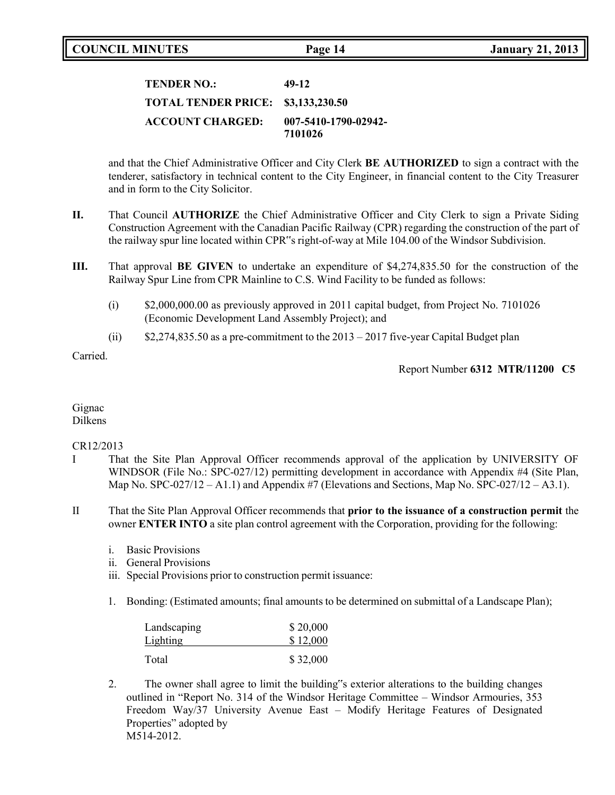# **TENDER NO.: 49-12 TOTAL TENDER PRICE: \$3,133,230.50 ACCOUNT CHARGED: 007-5410-1790-02942- 7101026**

and that the Chief Administrative Officer and City Clerk **BE AUTHORIZED** to sign a contract with the tenderer, satisfactory in technical content to the City Engineer, in financial content to the City Treasurer and in form to the City Solicitor.

- **II.** That Council **AUTHORIZE** the Chief Administrative Officer and City Clerk to sign a Private Siding Construction Agreement with the Canadian Pacific Railway (CPR) regarding the construction of the part of the railway spur line located within CPR"s right-of-way at Mile 104.00 of the Windsor Subdivision.
- **III.** That approval **BE GIVEN** to undertake an expenditure of \$4,274,835.50 for the construction of the Railway Spur Line from CPR Mainline to C.S. Wind Facility to be funded as follows:
	- (i) \$2,000,000.00 as previously approved in 2011 capital budget, from Project No. 7101026 (Economic Development Land Assembly Project); and
	- (ii)  $$2,274,835.50$  as a pre-commitment to the  $2013 2017$  five-year Capital Budget plan

Carried.

Report Number **6312 MTR/11200 C5**

#### Gignac Dilkens

### CR12/2013

- I That the Site Plan Approval Officer recommends approval of the application by UNIVERSITY OF WINDSOR (File No.: SPC-027/12) permitting development in accordance with Appendix #4 (Site Plan, Map No.  $SPC-027/12 - A1.1$ ) and Appendix #7 (Elevations and Sections, Map No.  $SPC-027/12 - A3.1$ ).
- II That the Site Plan Approval Officer recommends that **prior to the issuance of a construction permit** the owner **ENTER INTO** a site plan control agreement with the Corporation, providing for the following:
	- i. Basic Provisions
	- ii. General Provisions
	- iii. Special Provisions prior to construction permit issuance:
	- 1. Bonding: (Estimated amounts; final amounts to be determined on submittal of a Landscape Plan);

| Landscaping | \$20,000 |
|-------------|----------|
| Lighting    | \$12,000 |
| Total       | \$32,000 |

2. The owner shall agree to limit the building"s exterior alterations to the building changes outlined in "Report No. 314 of the Windsor Heritage Committee – Windsor Armouries, 353 Freedom Way/37 University Avenue East – Modify Heritage Features of Designated Properties" adopted by M514-2012.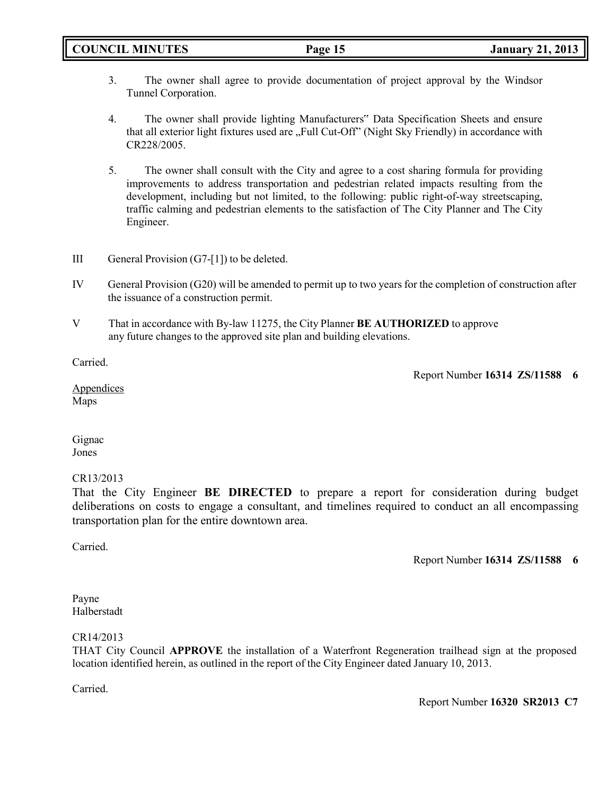- 3. The owner shall agree to provide documentation of project approval by the Windsor Tunnel Corporation.
- 4. The owner shall provide lighting Manufacturers" Data Specification Sheets and ensure that all exterior light fixtures used are "Full Cut-Off" (Night Sky Friendly) in accordance with CR228/2005.
- 5. The owner shall consult with the City and agree to a cost sharing formula for providing improvements to address transportation and pedestrian related impacts resulting from the development, including but not limited, to the following: public right-of-way streetscaping, traffic calming and pedestrian elements to the satisfaction of The City Planner and The City Engineer.
- III General Provision (G7-[1]) to be deleted.
- IV General Provision (G20) will be amended to permit up to two years for the completion of construction after the issuance of a construction permit.
- V That in accordance with By-law 11275, the City Planner **BE AUTHORIZED** to approve any future changes to the approved site plan and building elevations.

Carried.

Report Number **16314 ZS/11588 6**

Appendices Maps

Gignac Jones

# CR13/2013

That the City Engineer **BE DIRECTED** to prepare a report for consideration during budget deliberations on costs to engage a consultant, and timelines required to conduct an all encompassing transportation plan for the entire downtown area.

Carried.

Report Number **16314 ZS/11588 6**

Payne Halberstadt

### CR14/2013

THAT City Council **APPROVE** the installation of a Waterfront Regeneration trailhead sign at the proposed location identified herein, as outlined in the report of the City Engineer dated January 10, 2013.

Carried.

Report Number **16320 SR2013 C7**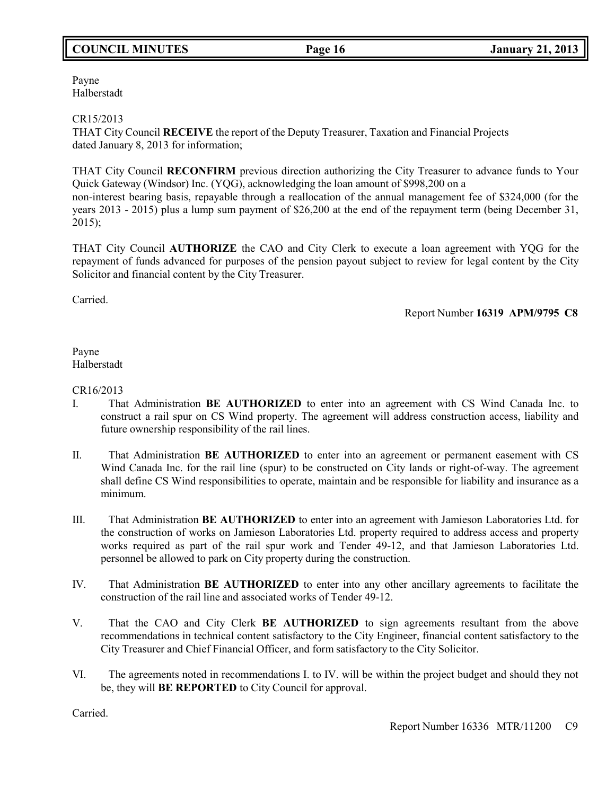# **COUNCIL MINUTES Page 16 January 21, 2013**

Payne Halberstadt

CR15/2013

THAT City Council **RECEIVE** the report of the Deputy Treasurer, Taxation and Financial Projects dated January 8, 2013 for information;

THAT City Council **RECONFIRM** previous direction authorizing the City Treasurer to advance funds to Your Quick Gateway (Windsor) Inc. (YQG), acknowledging the loan amount of \$998,200 on a non-interest bearing basis, repayable through a reallocation of the annual management fee of \$324,000 (for the years 2013 - 2015) plus a lump sum payment of \$26,200 at the end of the repayment term (being December 31, 2015);

THAT City Council **AUTHORIZE** the CAO and City Clerk to execute a loan agreement with YQG for the repayment of funds advanced for purposes of the pension payout subject to review for legal content by the City Solicitor and financial content by the City Treasurer.

Carried.

Report Number **16319 APM/9795 C8**

Payne Halberstadt

## CR16/2013

- I. That Administration **BE AUTHORIZED** to enter into an agreement with CS Wind Canada Inc. to construct a rail spur on CS Wind property. The agreement will address construction access, liability and future ownership responsibility of the rail lines.
- II. That Administration **BE AUTHORIZED** to enter into an agreement or permanent easement with CS Wind Canada Inc. for the rail line (spur) to be constructed on City lands or right-of-way. The agreement shall define CS Wind responsibilities to operate, maintain and be responsible for liability and insurance as a minimum.
- III. That Administration **BE AUTHORIZED** to enter into an agreement with Jamieson Laboratories Ltd. for the construction of works on Jamieson Laboratories Ltd. property required to address access and property works required as part of the rail spur work and Tender 49-12, and that Jamieson Laboratories Ltd. personnel be allowed to park on City property during the construction.
- IV. That Administration **BE AUTHORIZED** to enter into any other ancillary agreements to facilitate the construction of the rail line and associated works of Tender 49-12.
- V. That the CAO and City Clerk **BE AUTHORIZED** to sign agreements resultant from the above recommendations in technical content satisfactory to the City Engineer, financial content satisfactory to the City Treasurer and Chief Financial Officer, and form satisfactory to the City Solicitor.
- VI. The agreements noted in recommendations I. to IV. will be within the project budget and should they not be, they will **BE REPORTED** to City Council for approval.

Carried.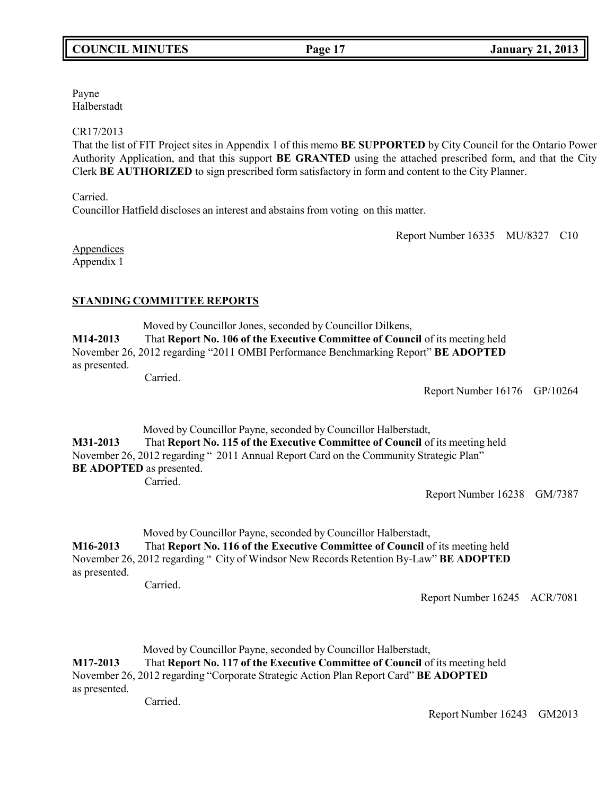Payne Halberstadt

#### CR17/2013

That the list of FIT Project sites in Appendix 1 of this memo **BE SUPPORTED** by City Council for the Ontario Power Authority Application, and that this support **BE GRANTED** using the attached prescribed form, and that the City Clerk **BE AUTHORIZED** to sign prescribed form satisfactory in form and content to the City Planner.

Carried.

Councillor Hatfield discloses an interest and abstains from voting on this matter.

Report Number 16335 MU/8327 C10

**Appendices** Appendix 1

## **STANDING COMMITTEE REPORTS**

Moved by Councillor Jones, seconded by Councillor Dilkens, **M14-2013** That **Report No. 106 of the Executive Committee of Council** of its meeting held November 26, 2012 regarding "2011 OMBI Performance Benchmarking Report" **BE ADOPTED** as presented.

Carried.

Report Number 16176 GP/10264

Moved by Councillor Payne, seconded by Councillor Halberstadt, **M31-2013** That **Report No. 115 of the Executive Committee of Council** of its meeting held November 26, 2012 regarding " 2011 Annual Report Card on the Community Strategic Plan" **BE ADOPTED** as presented. Carried.

Report Number 16238 GM/7387

Moved by Councillor Payne, seconded by Councillor Halberstadt, **M16-2013** That **Report No. 116 of the Executive Committee of Council** of its meeting held November 26, 2012 regarding " City of Windsor New Records Retention By-Law" **BE ADOPTED** as presented.

Carried.

Report Number 16245 ACR/7081

Moved by Councillor Payne, seconded by Councillor Halberstadt, **M17-2013** That **Report No. 117 of the Executive Committee of Council** of its meeting held November 26, 2012 regarding "Corporate Strategic Action Plan Report Card" **BE ADOPTED** as presented.

Carried.

Report Number 16243 GM2013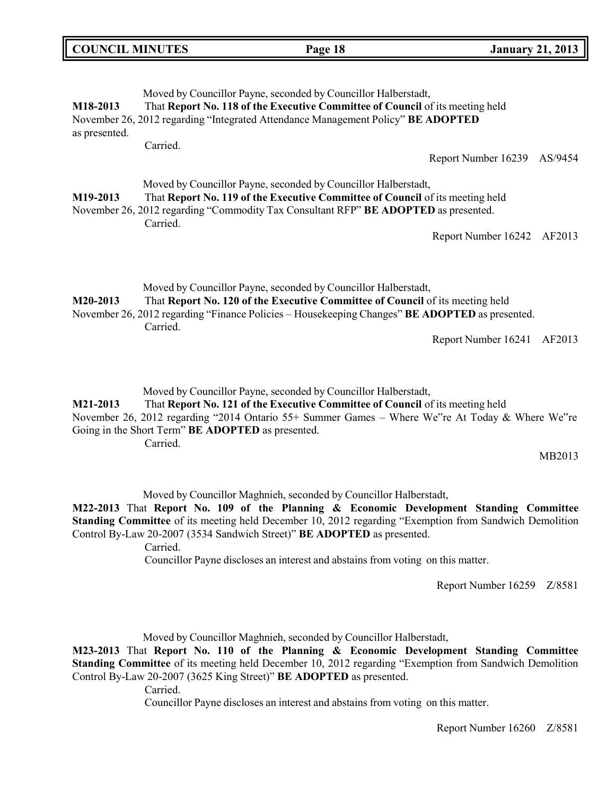| <b>COUNCIL MINUTES</b>    |          | Page 18                                                                                                                                                                                                                                           | <b>January 21, 2013</b>        |
|---------------------------|----------|---------------------------------------------------------------------------------------------------------------------------------------------------------------------------------------------------------------------------------------------------|--------------------------------|
| M18-2013<br>as presented. | Carried. | Moved by Councillor Payne, seconded by Councillor Halberstadt,<br>That Report No. 118 of the Executive Committee of Council of its meeting held<br>November 26, 2012 regarding "Integrated Attendance Management Policy" BE ADOPTED               | Report Number 16239<br>AS/9454 |
| M <sub>19</sub> -2013     | Carried. | Moved by Councillor Payne, seconded by Councillor Halberstadt,<br>That Report No. 119 of the Executive Committee of Council of its meeting held<br>November 26, 2012 regarding "Commodity Tax Consultant RFP" BE ADOPTED as presented.            | Report Number 16242 AF2013     |
| M20-2013                  | Carried. | Moved by Councillor Payne, seconded by Councillor Halberstadt,<br>That Report No. 120 of the Executive Committee of Council of its meeting held<br>November 26, 2012 regarding "Finance Policies – Housekeeping Changes" BE ADOPTED as presented. | Report Number 16241<br>AF2013  |

Moved by Councillor Payne, seconded by Councillor Halberstadt,

**M21-2013** That **Report No. 121 of the Executive Committee of Council** of its meeting held November 26, 2012 regarding "2014 Ontario 55+ Summer Games – Where We"re At Today & Where We"re Going in the Short Term" **BE ADOPTED** as presented. Carried.

MB2013

╗

Moved by Councillor Maghnieh, seconded by Councillor Halberstadt,

**M22-2013** That **Report No. 109 of the Planning & Economic Development Standing Committee Standing Committee** of its meeting held December 10, 2012 regarding "Exemption from Sandwich Demolition Control By-Law 20-2007 (3534 Sandwich Street)" **BE ADOPTED** as presented.

Carried.

Councillor Payne discloses an interest and abstains from voting on this matter.

Report Number 16259 Z/8581

Moved by Councillor Maghnieh, seconded by Councillor Halberstadt,

**M23-2013** That **Report No. 110 of the Planning & Economic Development Standing Committee Standing Committee** of its meeting held December 10, 2012 regarding "Exemption from Sandwich Demolition" Control By-Law 20-2007 (3625 King Street)" **BE ADOPTED** as presented.

Carried.

Councillor Payne discloses an interest and abstains from voting on this matter.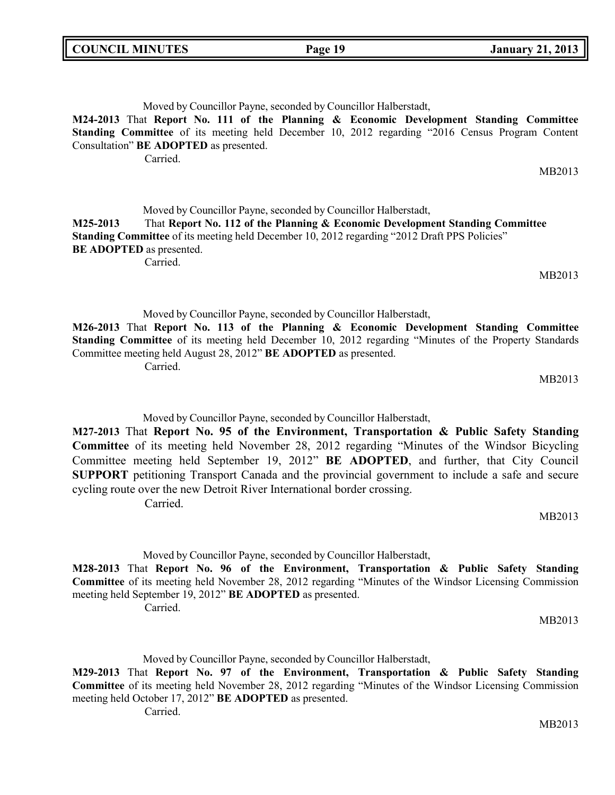Moved by Councillor Payne, seconded by Councillor Halberstadt,

**M24-2013** That **Report No. 111 of the Planning & Economic Development Standing Committee Standing Committee** of its meeting held December 10, 2012 regarding "2016 Census Program Content Consultation" **BE ADOPTED** as presented.

Carried.

Moved by Councillor Payne, seconded by Councillor Halberstadt, **M25-2013** That **Report No. 112 of the Planning & Economic Development Standing Committee Standing Committee** of its meeting held December 10, 2012 regarding "2012 Draft PPS Policies" **BE ADOPTED** as presented. Carried.

Moved by Councillor Payne, seconded by Councillor Halberstadt, **M26-2013** That **Report No. 113 of the Planning & Economic Development Standing Committee Standing Committee** of its meeting held December 10, 2012 regarding "Minutes of the Property Standards Committee meeting held August 28, 2012" **BE ADOPTED** as presented. Carried.

MB2013

MB2013

MB2013

Moved by Councillor Payne, seconded by Councillor Halberstadt,

**M27-2013** That **Report No. 95 of the Environment, Transportation & Public Safety Standing Committee** of its meeting held November 28, 2012 regarding "Minutes of the Windsor Bicycling Committee meeting held September 19, 2012" **BE ADOPTED**, and further, that City Council **SUPPORT** petitioning Transport Canada and the provincial government to include a safe and secure cycling route over the new Detroit River International border crossing. Carried.

MB2013

Moved by Councillor Payne, seconded by Councillor Halberstadt, **M28-2013** That **Report No. 96 of the Environment, Transportation & Public Safety Standing Committee** of its meeting held November 28, 2012 regarding "Minutes of the Windsor Licensing Commission meeting held September 19, 2012" **BE ADOPTED** as presented. Carried.

MB2013

Moved by Councillor Payne, seconded by Councillor Halberstadt,

**M29-2013** That **Report No. 97 of the Environment, Transportation & Public Safety Standing Committee** of its meeting held November 28, 2012 regarding "Minutes of the Windsor Licensing Commission meeting held October 17, 2012" **BE ADOPTED** as presented.

Carried.

MB2013